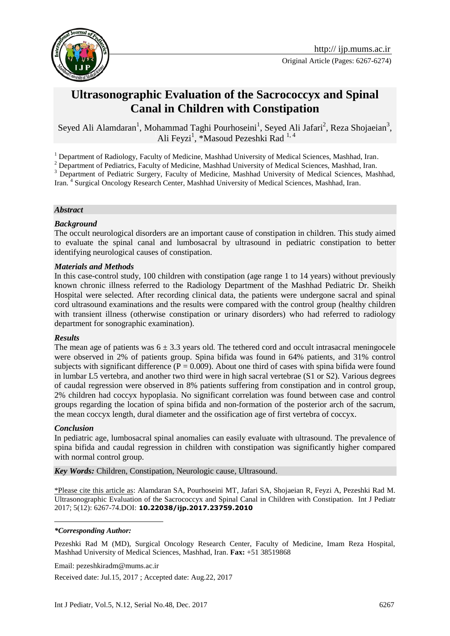

# **Ultrasonographic Evaluation of the Sacrococcyx and Spinal Canal in Children with Constipation**

Seyed Ali Alamdaran<sup>1</sup>, Mohammad Taghi Pourhoseini<sup>1</sup>, Seyed Ali Jafari<sup>2</sup>, Reza Shojaeian<sup>3</sup>, Ali Feyzi<sup>1</sup>, \*Masoud Pezeshki Rad<sup>1,4</sup>

<sup>1</sup> Department of Radiology, Faculty of Medicine, Mashhad University of Medical Sciences, Mashhad, Iran.

<sup>2</sup> Department of Pediatrics, Faculty of Medicine, Mashhad University of Medical Sciences, Mashhad, Iran.

<sup>3</sup> Department of Pediatric Surgery, Faculty of Medicine, Mashhad University of Medical Sciences, Mashhad, Iran. 4 Surgical Oncology Research Center, Mashhad University of Medical Sciences, Mashhad, Iran.

#### *Abstract*

#### *Background*

The occult neurological disorders are an important cause of constipation in children. This study aimed to evaluate the spinal canal and lumbosacral by ultrasound in pediatric constipation to better identifying neurological causes of constipation.

#### *Materials and Methods*

In this case-control study, 100 children with constipation (age range 1 to 14 years) without previously known chronic illness referred to the Radiology Department of the Mashhad Pediatric Dr. Sheikh Hospital were selected. After recording clinical data, the patients were undergone sacral and spinal cord ultrasound examinations and the results were compared with the control group (healthy children with transient illness (otherwise constipation or urinary disorders) who had referred to radiology department for sonographic examination).

#### *Results*

The mean age of patients was  $6 \pm 3.3$  years old. The tethered cord and occult intrasacral meningocele were observed in 2% of patients group. Spina bifida was found in 64% patients, and 31% control subjects with significant difference ( $P = 0.009$ ). About one third of cases with spina bifida were found in lumbar L5 vertebra, and another two third were in high sacral vertebrae (S1 or S2). Various degrees of caudal regression were observed in 8% patients suffering from constipation and in control group, 2% children had coccyx hypoplasia. No significant correlation was found between case and control groups regarding the location of spina bifida and non-formation of the posterior arch of the sacrum, the mean coccyx length, dural diameter and the ossification age of first vertebra of coccyx.

### *Conclusion*

<u>.</u>

In pediatric age, lumbosacral spinal anomalies can easily evaluate with ultrasound. The prevalence of spina bifida and caudal regression in children with constipation was significantly higher compared with normal control group.

*Key Words:* Children, Constipation, Neurologic cause, Ultrasound.

\*Please cite this article as: Alamdaran SA, Pourhoseini MT, Jafari SA, Shojaeian R, Feyzi A, Pezeshki Rad M. Ultrasonographic Evaluation of the Sacrococcyx and Spinal Canal in Children with Constipation. Int J Pediatr 2017; 5(12): 6267-74.DOI: **10.22038/ijp.2017.23759.2010**

#### *\*Corresponding Author:*

Pezeshki Rad M (MD), Surgical Oncology Research Center, Faculty of Medicine, Imam Reza Hospital, Mashhad University of Medical Sciences, Mashhad, Iran. **Fax:** +51 38519868

Email: pezeshkiradm@mums.ac.ir

Received date: Jul.15, 2017 ; Accepted date: Aug.22, 2017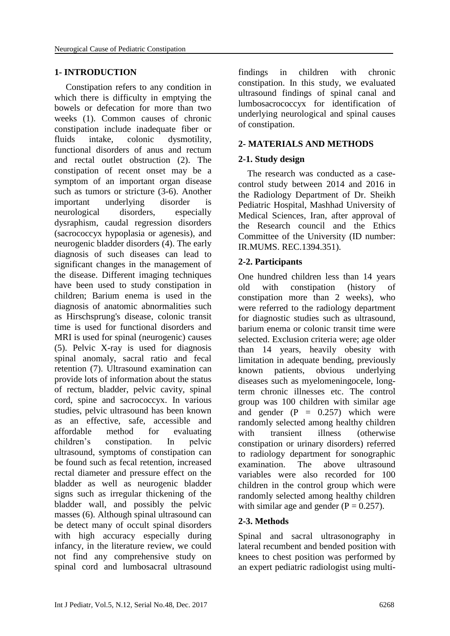### **1- INTRODUCTION**

 Constipation refers to any condition in which there is difficulty in emptying the bowels or defecation for more than two weeks [\(1\)](#page-6-0). Common causes of chronic constipation include inadequate fiber or fluids intake, colonic dysmotility, functional disorders of anus and rectum and rectal outlet obstruction [\(2\)](#page-6-1). The constipation of recent onset may be a symptom of an important organ disease such as tumors or stricture [\(3-6\)](#page-6-1). Another important underlying disorder is neurological disorders, especially dysraphism, caudal regression disorders (sacrococcyx hypoplasia or agenesis), and neurogenic bladder disorders (4). The early diagnosis of such diseases can lead to significant changes in the management of the disease. Different imaging techniques have been used to study constipation in children; Barium enema is used in the diagnosis of anatomic abnormalities such as Hirschsprung's disease, colonic transit time is used for functional disorders and MRI is used for spinal (neurogenic) causes [\(5\)](#page-6-2). Pelvic X-ray is used for diagnosis spinal anomaly, sacral ratio and fecal retention (7). Ultrasound examination can provide lots of information about the status of rectum, bladder, pelvic cavity, spinal cord, spine and sacrococcyx. In various studies, pelvic ultrasound has been known as an effective, safe, accessible and affordable method for evaluating children's constipation. In pelvic ultrasound, symptoms of constipation can be found such as fecal retention, increased rectal diameter and pressure effect on the bladder as well as neurogenic bladder signs such as irregular thickening of the bladder wall, and possibly the pelvic masses [\(6\)](#page-6-3). Although spinal ultrasound can be detect many of occult spinal disorders with high accuracy especially during infancy, in the literature review, we could not find any comprehensive study on spinal cord and lumbosacral ultrasound findings in children with chronic constipation. In this study, we evaluated ultrasound findings of spinal canal and lumbosacrococcyx for identification of underlying neurological and spinal causes of constipation.

# **2- MATERIALS AND METHODS**

### **2-1. Study design**

 The research was conducted as a casecontrol study between 2014 and 2016 in the Radiology Department of Dr. Sheikh Pediatric Hospital, Mashhad University of Medical Sciences, Iran, after approval of the Research council and the Ethics Committee of the University (ID number: IR.MUMS. REC.1394.351).

### **2-2. Participants**

One hundred children less than 14 years old with constipation (history of constipation more than 2 weeks), who were referred to the radiology department for diagnostic studies such as ultrasound, barium enema or colonic transit time were selected. Exclusion criteria were; age older than 14 years, heavily obesity with limitation in adequate bending, previously known patients, obvious underlying diseases such as myelomeningocele, longterm chronic illnesses etc. The control group was 100 children with similar age and gender  $(P = 0.257)$  which were randomly selected among healthy children with transient illness (otherwise constipation or urinary disorders) referred to radiology department for sonographic examination. The above ultrasound variables were also recorded for 100 children in the control group which were randomly selected among healthy children with similar age and gender  $(P = 0.257)$ .

# **2-3. Methods**

Spinal and sacral ultrasonography in lateral recumbent and bended position with knees to chest position was performed by an expert pediatric radiologist using multi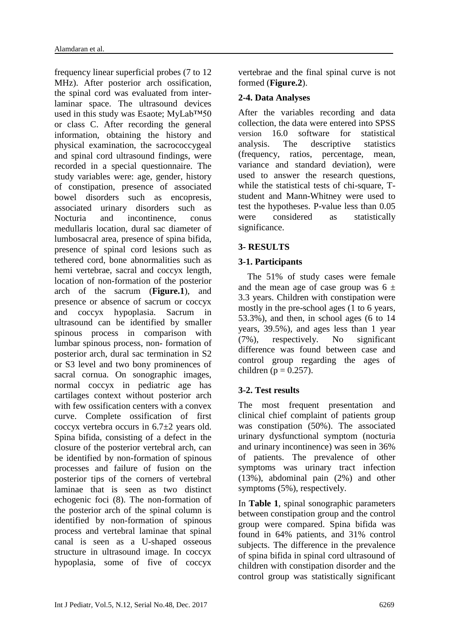frequency linear superficial probes (7 to 12 MHz). After posterior arch ossification, the spinal cord was evaluated from interlaminar space. The ultrasound devices used in this study was Esaote; MyLab™50 or class C. After recording the general information, obtaining the history and physical examination, the sacrococcygeal and spinal cord ultrasound findings, were recorded in a special questionnaire. The study variables were: age, gender, history of constipation, presence of associated bowel disorders such as encopresis, associated urinary disorders such as Nocturia and incontinence, conus medullaris location, dural sac diameter of lumbosacral area, presence of spina bifida, presence of spinal cord lesions such as tethered cord, bone abnormalities such as hemi vertebrae, sacral and coccyx length, location of non-formation of the posterior arch of the sacrum (**Figure.1**), and presence or absence of sacrum or coccyx and coccyx hypoplasia. Sacrum in ultrasound can be identified by smaller spinous process in comparison with lumbar spinous process, non- formation of posterior arch, dural sac termination in S2 or S3 level and two bony prominences of sacral cornua. On sonographic images, normal coccyx in pediatric age has cartilages context without posterior arch with few ossification centers with a convex curve. Complete ossification of first coccyx vertebra occurs in 6.7±2 years old. Spina bifida, consisting of a defect in the closure of the posterior vertebral arch, can be identified by non-formation of spinous processes and failure of fusion on the posterior tips of the corners of vertebral laminae that is seen as two distinct echogenic foci (8). The non-formation of the posterior arch of the spinal column is identified by non-formation of spinous process and vertebral laminae that spinal canal is seen as a U-shaped osseous structure in ultrasound image. In coccyx hypoplasia, some of five of coccyx

vertebrae and the final spinal curve is not formed (**Figure.2**).

# **2-4. Data Analyses**

After the variables recording and data collection, the data were entered into SPSS version 16.0 software for statistical analysis. The descriptive statistics (frequency, ratios, percentage, mean, variance and standard deviation), were used to answer the research questions, while the statistical tests of chi-square, Tstudent and Mann-Whitney were used to test the hypotheses. P-value less than 0.05 were considered as statistically significance.

# **3- RESULTS**

# **3-1. Participants**

 The 51% of study cases were female and the mean age of case group was  $6 \pm$ 3.3 years. Children with constipation were mostly in the pre-school ages (1 to 6 years, 53.3%), and then, in school ages (6 to 14 years, 39.5%), and ages less than 1 year (7%), respectively. No significant difference was found between case and control group regarding the ages of children ( $p = 0.257$ ).

# **3-2. Test results**

The most frequent presentation and clinical chief complaint of patients group was constipation (50%). The associated urinary dysfunctional symptom (nocturia and urinary incontinence) was seen in 36% of patients. The prevalence of other symptoms was urinary tract infection (13%), abdominal pain (2%) and other symptoms (5%), respectively.

In **Table 1**, spinal sonographic parameters between constipation group and the control group were compared. Spina bifida was found in 64% patients, and 31% control subjects. The difference in the prevalence of spina bifida in spinal cord ultrasound of children with constipation disorder and the control group was statistically significant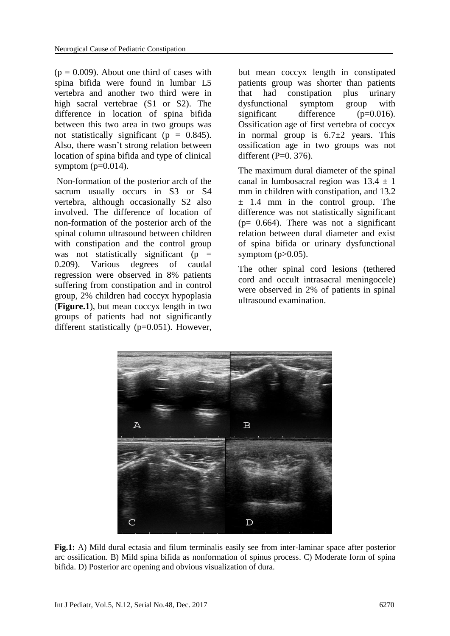$(p = 0.009)$ . About one third of cases with spina bifida were found in lumbar L5 vertebra and another two third were in high sacral vertebrae (S1 or S2). The difference in location of spina bifida between this two area in two groups was not statistically significant ( $p = 0.845$ ). Also, there wasn't strong relation between location of spina bifida and type of clinical symptom  $(p=0.014)$ .

Non-formation of the posterior arch of the sacrum usually occurs in S3 or S4 vertebra, although occasionally S2 also involved. The difference of location of non-formation of the posterior arch of the spinal column ultrasound between children with constipation and the control group was not statistically significant  $(p =$ 0.209). Various degrees of caudal regression were observed in 8% patients suffering from constipation and in control group, 2% children had coccyx hypoplasia (**Figure.1**), but mean coccyx length in two groups of patients had not significantly different statistically (p=0.051). However,

but mean coccyx length in constipated patients group was shorter than patients that had constipation plus urinary dysfunctional symptom group with significant difference (p=0.016). Ossification age of first vertebra of coccyx in normal group is  $6.7\pm2$  years. This ossification age in two groups was not different  $(P=0. 376)$ .

The maximum dural diameter of the spinal canal in lumbosacral region was  $13.4 \pm 1$ mm in children with constipation, and 13.2  $\pm$  1.4 mm in the control group. The difference was not statistically significant  $(p= 0.664)$ . There was not a significant relation between dural diameter and exist of spina bifida or urinary dysfunctional symptom  $(p>0.05)$ .

The other spinal cord lesions (tethered cord and occult intrasacral meningocele) were observed in 2% of patients in spinal ultrasound examination.



**Fig.1:** A) Mild dural ectasia and filum terminalis easily see from inter-laminar space after posterior arc ossification. B) Mild spina bifida as nonformation of spinus process. C) Moderate form of spina bifida. D) Posterior arc opening and obvious visualization of dura.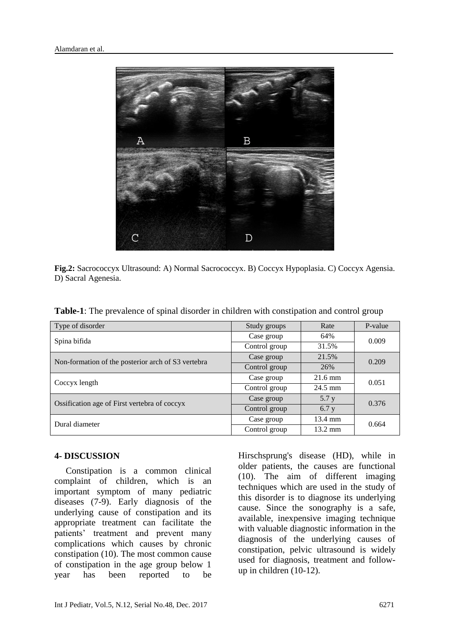

**Fig.2:** Sacrococcyx Ultrasound: A) Normal Sacrococcyx. B) Coccyx Hypoplasia. C) Coccyx Agensia. D) Sacral Agenesia.

| Type of disorder                                   | Study groups  | Rate              | P-value |
|----------------------------------------------------|---------------|-------------------|---------|
| Spina bifida                                       | Case group    | 64%               | 0.009   |
|                                                    | Control group | 31.5%             |         |
| Non-formation of the posterior arch of S3 vertebra | Case group    | 21.5%             | 0.209   |
|                                                    | Control group | 26%               |         |
| Coccyx length                                      | Case group    | $21.6 \text{ mm}$ | 0.051   |
|                                                    | Control group | $24.5$ mm         |         |
| Ossification age of First vertebra of coccyx       | Case group    | 5.7 y             | 0.376   |
|                                                    | Control group | 6.7 y             |         |
|                                                    | Case group    | 13.4 mm           |         |

**Table-1**: The prevalence of spinal disorder in children with constipation and control group

# **4- DISCUSSION**

Dural diameter

 Constipation is a common clinical complaint of children, which is an important symptom of many pediatric diseases [\(7-9\)](#page-6-4). Early diagnosis of the underlying cause of constipation and its appropriate treatment can facilitate the patients' treatment and prevent many complications which causes by chronic constipation (10). The most common cause of constipation in the age group below 1 year has been reported to be

Hirschsprung's disease (HD), while in older patients, the causes are functional [\(10\)](#page-6-5). The aim of different imaging techniques which are used in the study of this disorder is to diagnose its underlying cause. Since the sonography is a safe, available, inexpensive imaging technique with valuable diagnostic information in the diagnosis of the underlying causes of constipation, pelvic ultrasound is widely used for diagnosis, treatment and followup in children [\(10-12\)](#page-6-5).

Control group 13.2 mm

0.664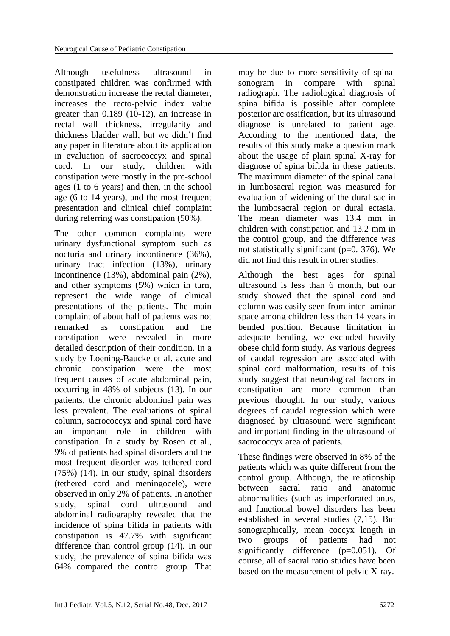Although usefulness ultrasound in constipated children was confirmed with demonstration increase the rectal diameter, increases the recto-pelvic index value greater than 0.189 (10-12), an increase in rectal wall thickness, irregularity and thickness bladder wall, but we didn't find any paper in literature about its application in evaluation of sacrococcyx and spinal cord. In our study, children with constipation were mostly in the pre-school ages (1 to 6 years) and then, in the school age (6 to 14 years), and the most frequent presentation and clinical chief complaint during referring was constipation (50%).

The other common complaints were urinary dysfunctional symptom such as nocturia and urinary incontinence (36%), urinary tract infection (13%), urinary incontinence (13%), abdominal pain (2%), and other symptoms (5%) which in turn, represent the wide range of clinical presentations of the patients. The main complaint of about half of patients was not remarked as constipation and the constipation were revealed in more detailed description of their condition. In a study by Loening-Baucke et al. acute and chronic constipation were the most frequent causes of acute abdominal pain, occurring in 48% of subjects (13). In our patients, the chronic abdominal pain was less prevalent. The evaluations of spinal column, sacrococcyx and spinal cord have an important role in children with constipation. In a study by Rosen et al., 9% of patients had spinal disorders and the most frequent disorder was tethered cord (75%) (14). In our study, spinal disorders (tethered cord and meningocele), were observed in only 2% of patients. In another study, spinal cord ultrasound and abdominal radiography revealed that the incidence of spina bifida in patients with constipation is 47.7% with significant difference than control group [\(14\)](#page-7-0). In our study, the prevalence of spina bifida was 64% compared the control group. That

may be due to more sensitivity of spinal sonogram in compare with spinal radiograph. The radiological diagnosis of spina bifida is possible after complete posterior arc ossification, but its ultrasound diagnose is unrelated to patient age. According to the mentioned data, the results of this study make a question mark about the usage of plain spinal X-ray for diagnose of spina bifida in these patients. The maximum diameter of the spinal canal in lumbosacral region was measured for evaluation of widening of the [dural](https://en.wikipedia.org/wiki/Dura_mater) sac in the lumbosacral region or dural ectasia. The mean diameter was 13.4 mm in children with constipation and 13.2 mm in the control group, and the difference was not statistically significant (p=0. 376). We did not find this result in other studies.

Although the best ages for spinal ultrasound is less than 6 month, but our study showed that the spinal cord and column was easily seen from inter-laminar space among children less than 14 years in bended position. Because limitation in adequate bending, we excluded heavily obese child form study. As various degrees of caudal regression are associated with spinal cord malformation, results of this study suggest that neurological factors in constipation are more common than previous thought. In our study, various degrees of caudal regression which were diagnosed by ultrasound were significant and important finding in the ultrasound of sacrococcyx area of patients.

These findings were observed in 8% of the patients which was quite different from the control group. Although, the relationship between sacral ratio and anatomic abnormalities (such as imperforated anus, and functional bowel disorders has been established in several studies [\(7](#page-6-4)[,15\)](#page-7-1). But sonographically, mean coccyx length in two groups of patients had not significantly difference (p=0.051). Of course, all of sacral ratio studies have been based on the measurement of pelvic X-ray.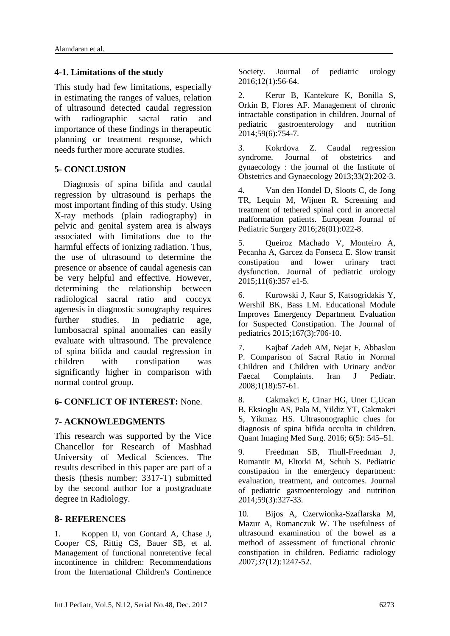### **4-1. Limitations of the study**

This study had few limitations, especially in estimating the ranges of values, relation of ultrasound detected caudal regression with radiographic sacral ratio and importance of these findings in therapeutic planning or treatment response, which needs further more accurate studies.

### **5- CONCLUSION**

 Diagnosis of spina bifida and caudal regression by ultrasound is perhaps the most important finding of this study. Using X-ray methods (plain radiography) in pelvic and genital system area is always associated with limitations due to the harmful effects of ionizing radiation. Thus, the use of ultrasound to determine the presence or absence of caudal agenesis can be very helpful and effective. However, determining the relationship between radiological sacral ratio and coccyx agenesis in diagnostic sonography requires further studies. In pediatric age, lumbosacral spinal anomalies can easily evaluate with ultrasound. The prevalence of spina bifida and caudal regression in children with constipation was significantly higher in comparison with normal control group.

# **6- CONFLICT OF INTEREST:** None.

# **7- ACKNOWLEDGMENTS**

This research was supported by the Vice Chancellor for Research of Mashhad University of Medical Sciences. The results described in this paper are part of a thesis (thesis number: 3317-T) submitted by the second author for a postgraduate degree in Radiology.

# **8- REFERENCES**

<span id="page-6-0"></span>1. Koppen IJ, von Gontard A, Chase J, Cooper CS, Rittig CS, Bauer SB, et al. Management of functional nonretentive fecal incontinence in children: Recommendations from the International Children's Continence Society. Journal of pediatric urology 2016;12(1):56-64.

<span id="page-6-1"></span>2. Kerur B, Kantekure K, Bonilla S, Orkin B, Flores AF. Management of chronic intractable constipation in children. Journal of pediatric gastroenterology and nutrition 2014;59(6):754-7.

3. Kokrdova Z. Caudal regression syndrome. Journal of obstetrics and gynaecology : the journal of the Institute of Obstetrics and Gynaecology 2013;33(2):202-3.

<span id="page-6-2"></span>4. Van den Hondel D, Sloots C, de Jong TR, Lequin M, Wijnen R. Screening and treatment of tethered spinal cord in anorectal malformation patients. European Journal of Pediatric Surgery 2016;26(01):022-8.

5. Queiroz Machado V, Monteiro A, Pecanha A, Garcez da Fonseca E. Slow transit constipation and lower urinary tract dysfunction. Journal of pediatric urology 2015;11(6):357 e1-5.

<span id="page-6-3"></span>6. Kurowski J, Kaur S, Katsogridakis Y, Wershil BK, Bass LM. Educational Module Improves Emergency Department Evaluation for Suspected Constipation. The Journal of pediatrics 2015;167(3):706-10.

<span id="page-6-4"></span>7. Kajbaf Zadeh AM, Nejat F, Abbaslou P. Comparison of Sacral Ratio in Normal Children and Children with Urinary and/or Faecal Complaints. Iran J Pediatr. 2008;1(18):57-61.

8. Cakmakci E, Cinar HG, Uner C,Ucan B, Eksioglu AS, Pala M, Yildiz YT, Cakmakci S, Yikmaz HS. Ultrasonographic clues for diagnosis of spina bifida occulta in children. [Quant Imaging Med Surg.](https://www.ncbi.nlm.nih.gov/pmc/articles/PMC5130575/) 2016; 6(5): 545–51.

9. Freedman SB, Thull-Freedman J, Rumantir M, Eltorki M, Schuh S. Pediatric constipation in the emergency department: evaluation, treatment, and outcomes. Journal of pediatric gastroenterology and nutrition 2014;59(3):327-33.

<span id="page-6-5"></span>10. Bijos A, Czerwionka-Szaflarska M, Mazur A, Romanczuk W. The usefulness of ultrasound examination of the bowel as a method of assessment of functional chronic constipation in children. Pediatric radiology 2007;37(12):1247-52.